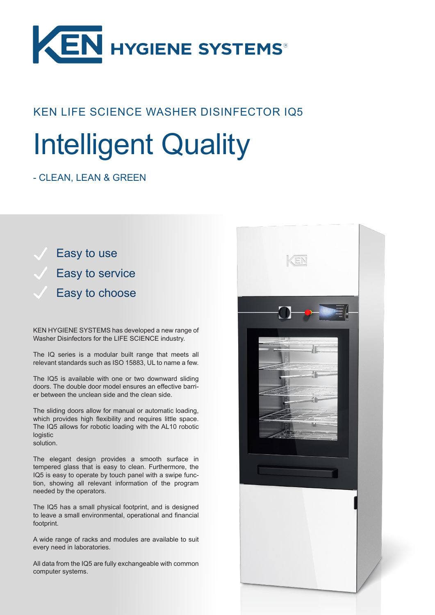

## KEN LIFE SCIENCE WASHER DISINFECTOR IQ5

# Intelligent Quality

## - CLEAN, LEAN & GREEN



KEN HYGIENE SYSTEMS has developed a new range of Washer Disinfectors for the LIFE SCIENCE industry.

The IQ series is a modular built range that meets all relevant standards such as ISO 15883, UL to name a few.

The IQ5 is available with one or two downward sliding doors. The double door model ensures an effective barrier between the unclean side and the clean side.

The sliding doors allow for manual or automatic loading, which provides high flexibility and requires little space. The IQ5 allows for robotic loading with the AL10 robotic logistic solution.

The elegant design provides a smooth surface in tempered glass that is easy to clean. Furthermore, the IQ5 is easy to operate by touch panel with a swipe function, showing all relevant information of the program needed by the operators.

The IQ5 has a small physical footprint, and is designed to leave a small environmental, operational and financial footprint.

A wide range of racks and modules are available to suit every need in laboratories.

All data from the IQ5 are fully exchangeable with common computer systems.